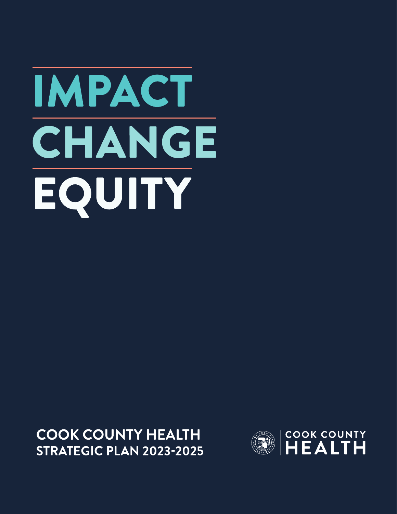# IMPACT CHANGE EQUITY

**COOK COUNTY HEALTH STRATEGIC PLAN 2023-2025** 

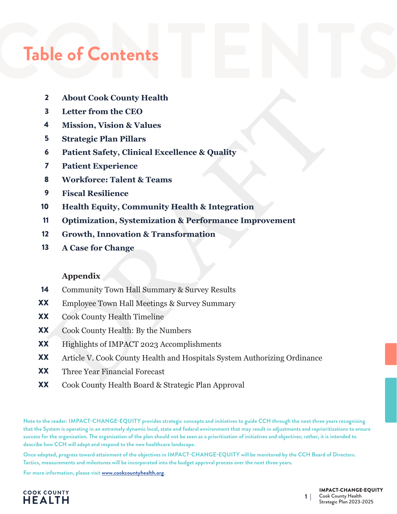# Table of Contents<br>
2. About Cook County Health

- **About Cook County Health** 2
- **Letter from the CEO** 3
- **Mission, Vision & Values** 4
- **Strategic Plan Pillars** 5
- **Patient Safety, Clinical Excellence & Quality**  6
- **Patient Experience** 7
- **Workforce: Talent & Teams**  8
- **Fiscal Resilience**  9
- **Health Equity, Community Health & Integration**  10
- **Optimization, Systemization & Performance Improvement**  11
- **Growth, Innovation & Transformation** 12
- **A Case for Change** 13

#### **Appendix**

- Community Town Hall Summary & Survey Results 14
- Employee Town Hall Meetings & Survey Summary XX
- Cook County Health Timeline XX
- Cook County Health: By the Numbers XX
- Highlights of IMPACT 2023 Accomplishments XX
- 2 About Cook County Health<br>
3 Letter from the CEO<br>
4 Mission, Vision & Values<br>
5 Strategie Plan Pillars<br>
6 Patient Earpeirence<br>
6 Patient Experience<br>
7 Patient Experience<br>
2 WorkTorce: Talent & Teams<br>
9 Fiscal Resilience<br> Article V. Cook County Health and Hospitals System Authorizing Ordinance XX
- Three Year Financial Forecast XX
- Cook County Health Board & Strategic Plan Approval XX

**Note to the reader: IMPACT-CHANGE-EQUITY provides strategic concepts and initiatives to guide CCH through the next three years recognizing that the System is operating in an extremely dynamic local, state and federal environment that may result in adjustments and reprioritizations to ensure success for the organization. The organization of the plan should not be seen as a prioritization of initiatives and objectives; rather, it is intended to describe how CCH will adapt and respond to the new healthcare landscape.**

**Once adopted, progress toward attainment of the objectives in IMPACT-CHANGE-EQUITY will be monitored by the CCH Board of Directors. Tactics, measurements and milestones will be incorporated into the budget approval process over the next three years.**

**For more information, please visit www.cookcountyhealth.org.**

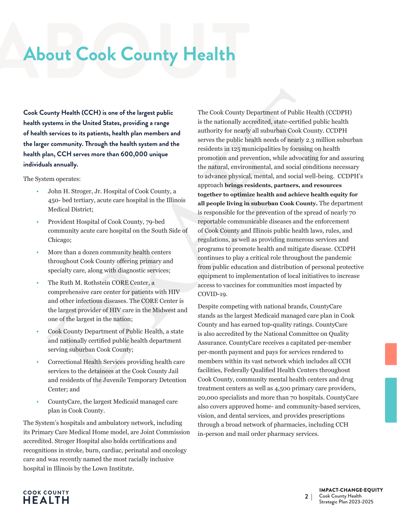## About Cook County Health **About Cook County Health**

**Cook County Health (CCH) is one of the largest public health systems in the United States, providing a range of health services to its patients, health plan members and the larger community. Through the health system and the health plan, CCH serves more than 600,000 unique individuals annually.** 

The System operates:

- John H. Stroger, Jr. Hospital of Cook County, a 450- bed tertiary, acute care hospital in the Illinois Medical District;
- Provident Hospital of Cook County, 79-bed community acute care hospital on the South Side of Chicago;
- More than a dozen community health centers throughout Cook County offering primary and specialty care, along with diagnostic services;
- The Ruth M. Rothstein CORE Center, a comprehensive care center for patients with HIV and other infectious diseases. The CORE Center is the largest provider of HIV care in the Midwest and one of the largest in the nation;
- Cook County Department of Public Health, a state and nationally certified public health department serving suburban Cook County;
- Correctional Health Services providing health care services to the detainees at the Cook County Jail and residents of the Juvenile Temporary Detention Center; and
- CountyCare, the largest Medicaid managed care plan in Cook County.

The System's hospitals and ambulatory network, including its Primary Care Medical Home model, are Joint Commission accredited. Stroger Hospital also holds certifications and recognitions in stroke, burn, cardiac, perinatal and oncology care and was recently named the most racially inclusive hospital in Illinois by the Lown Institute.

bundy Health (CCH) is one of the largest public<br>
The Cook County Department of Public Health (CH) is one of the largest public<br>
starviews in the Union System in the Union System (in the David County) are considered and th The Cook County Department of Public Health (CCDPH) is the nationally accredited, state-certified public health authority for nearly all suburban Cook County. CCDPH serves the public health needs of nearly 2.3 million suburban residents in 125 municipalities by focusing on health promotion and prevention, while advocating for and assuring the natural, environmental, and social conditions necessary to advance physical, mental, and social well-being. CCDPH's approach **brings residents, partners, and resources together to optimize health and achieve health equity for all people living in suburban Cook County.** The department is responsible for the prevention of the spread of nearly 70 reportable communicable diseases and the enforcement of Cook County and Illinois public health laws, rules, and regulations, as well as providing numerous services and programs to promote health and mitigate disease. CCDPH continues to play a critical role throughout the pandemic from public education and distribution of personal protective equipment to implementation of local initiatives to increase access to vaccines for communities most impacted by COVID-19.

Despite competing with national brands, CountyCare stands as the largest Medicaid managed care plan in Cook County and has earned top-quality ratings. CountyCare is also accredited by the National Committee on Quality Assurance. CountyCare receives a capitated per-member per-month payment and pays for services rendered to members within its vast network which includes all CCH facilities, Federally Qualified Health Centers throughout Cook County, community mental health centers and drug treatment centers as well as 4,500 primary care providers, 20,000 specialists and more than 70 hospitals. CountyCare also covers approved home- and community-based services, vision, and dental services, and provides prescriptions through a broad network of pharmacies, including CCH in-person and mail order pharmacy services.

#### **COOK COUNTY HEALTH**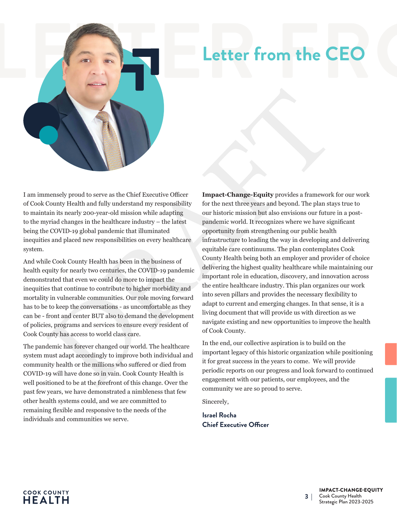

I am immensely proud to serve as the Chief Executive Officer of Cook County Health and fully understand my responsibility to maintain its nearly 200-year-old mission while adapting to the myriad changes in the healthcare industry – the latest being the COVID-19 global pandemic that illuminated inequities and placed new responsibilities on every healthcare system.

And while Cook County Health has been in the business of health equity for nearly two centuries, the COVID-19 pandemic demonstrated that even we could do more to impact the inequities that continue to contribute to higher morbidity and mortality in vulnerable communities. Our role moving forward has to be to keep the conversations - as uncomfortable as they can be - front and center BUT also to demand the development of policies, programs and services to ensure every resident of Cook County has access to world class care.

The pandemic has forever changed our world. The healthcare system must adapt accordingly to improve both individual and community health or the millions who suffered or died from COVID-19 will have done so in vain. Cook County Health is well positioned to be at the forefront of this change. Over the past few years, we have demonstrated a nimbleness that few other health systems could, and we are committed to remaining flexible and responsive to the needs of the individuals and communities we serve.

measely proud to serve as the Chief Executive Officer<br>
Impact-Change-Equity provides a framework<br>
compty Health and fully understand my responsibility for the next three years and beyond. The plan studies<br>
in its nearly 20 **Impact-Change-Equity** provides a framework for our work for the next three years and beyond. The plan stays true to our historic mission but also envisions our future in a postpandemic world. It recognizes where we have significant opportunity from strengthening our public health infrastructure to leading the way in developing and delivering equitable care continuums. The plan contemplates Cook County Health being both an employer and provider of choice delivering the highest quality healthcare while maintaining our important role in education, discovery, and innovation across the entire healthcare industry. This plan organizes our work into seven pillars and provides the necessary flexibility to adapt to current and emerging changes. In that sense, it is a living document that will provide us with direction as we navigate existing and new opportunities to improve the health of Cook County.

In the end, our collective aspiration is to build on the important legacy of this historic organization while positioning it for great success in the years to come. We will provide periodic reports on our progress and look forward to continued engagement with our patients, our employees, and the community we are so proud to serve.

Sincerely,

**Israel Rocha Chief Executive Officer**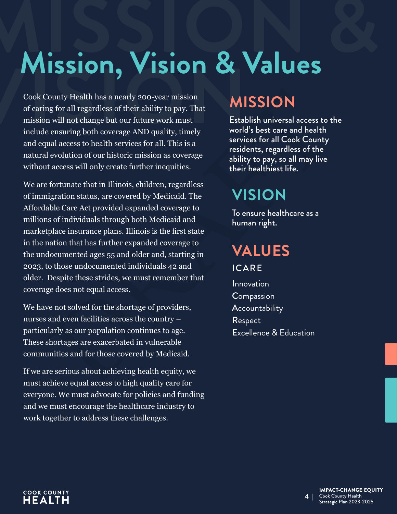# **Mission. Vision & Values**

**Mission, Vision & Values**<br>
Cook County Health has a nearly 200-year mission<br>
of caring for all regardless of their ability to pay. That<br>
mission will not change but our future work must<br>
include ensuring both coverage AND Cook County Health has a nearly 200-year mission of caring for all regardless of their ability to pay. That mission will not change but our future work must include ensuring both coverage AND quality, timely and equal access to health services for all. This is a natural evolution of our historic mission as coverage without access will only create further inequities.

Nounty Health has a nearly 200-year mission<br>
mg for all regardless of their ability to pay. That<br>
metallined more fitture work must<br>
metalline and health services for all Cook County<br>
ensuring both coverage AND quality, ti We are fortunate that in Illinois, children, regardless of immigration status, are covered by Medicaid. The Affordable Care Act provided expanded coverage to millions of individuals through both Medicaid and marketplace insurance plans. Illinois is the first state in the nation that has further expanded coverage to the undocumented ages 55 and older and, starting in 2023, to those undocumented individuals 42 and older. Despite these strides, we must remember that coverage does not equal access.

We have not solved for the shortage of providers, nurses and even facilities across the country – particularly as our population continues to age. These shortages are exacerbated in vulnerable communities and for those covered by Medicaid.

If we are serious about achieving health equity, we must achieve equal access to high quality care for everyone. We must advocate for policies and funding and we must encourage the healthcare industry to work together to address these challenges.

### **MISSION**

Establish universal access to the world's best care and health services for all Cook County residents, regardless of the ability to pay, so all may live their healthiest life.

### **VISION**

To ensure healthcare as a human right.

## **VALUES**

ICARE

**Innovation** Compassion **Accountability** Respect Excellence & Education

#### **COOK COUNTY HEALTH**

#### IMPACT-CHANGE-EQUITY Cook County Health Strategic Plan 2023-2025

**4 |**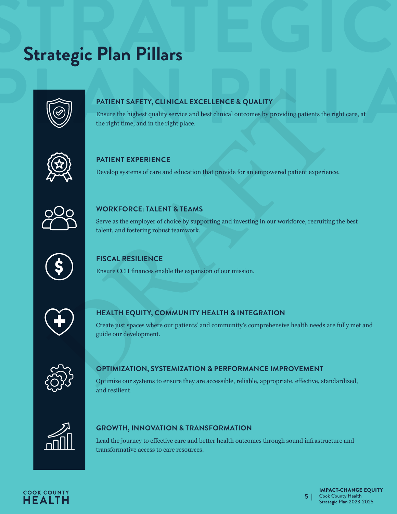## **Strategic Plan Pillars Strategic Plan Pillars**



#### **PATIENT SAFETY, CLINICAL EXCELLENCE & QUALITY**

PATIENT SAFETY, CLINICAL EXCELLENCE & QUALITY<br>
Ensure the highest quality service and best elimical outcomes by providing patients the right time, and in the right place.<br>
PATIENT EXPERIENCE<br>
Perclop systems of care and ed PATIENT SAFETY, CLINICAL EXCELLENCE & QUALITY<br>Ensure the highest quality service and best clinical outcomes by providing patients the right care, at<br>the right time, and in the right place. Ensure the highest quality service and best clinical outcomes by providing patients the right care, at the right time, and in the right place.



#### **PATIENT EXPERIENCE**

Develop systems of care and education that provide for an empowered patient experience.



#### **WORKFORCE: TALENT & TEAMS**

Serve as the employer of choice by supporting and investing in our workforce, recruiting the best talent, and fostering robust teamwork.



#### **FISCAL RESILIENCE**

Ensure CCH finances enable the expansion of our mission.



#### **HEALTH EQUITY, COMMUNITY HEALTH & INTEGRATION**

Create just spaces where our patients' and community's comprehensive health needs are fully met and guide our development.



#### **OPTIMIZATION, SYSTEMIZATION & PERFORMANCE IMPROVEMENT**

Optimize our systems to ensure they are accessible, reliable, appropriate, effective, standardized, and resilient.



#### **GROWTH, INNOVATION & TRANSFORMATION**

Lead the journey to effective care and better health outcomes through sound infrastructure and transformative access to care resources.



**5 |**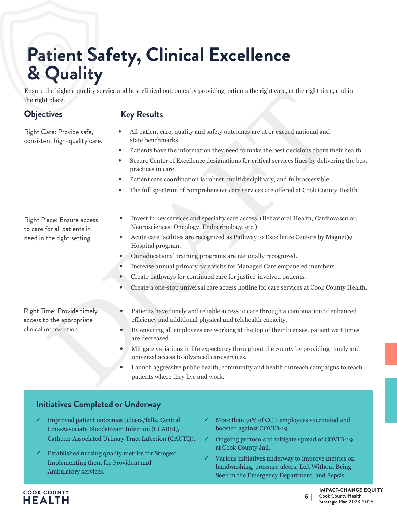## **Patient Safety, Clinical Excellence & Quality**

The bightest quality service and best clinical outcomes by providing patients the right care, at the right time, plane, <br>  $\blacksquare$  plane, <br>  $\blacksquare$  plane, and patient care, quality and safety outcomes are at or exceed nation Ensure the highest quality service and best clinical outcomes by providing patients the right care, at the right time, and in the right place.

#### **Objectives**

#### **Key Results**

Right Care: Provide safe, consistent high-quality care.

- All patient care, quality and safety outcomes are at or exceed national and state benchmarks.
- Patients have the information they need to make the best decisions about their health.
- Secure Center of Excellence designations for critical services lines by delivering the best practices in care.
- Patient care coordination is robust, multidisciplinary, and fully accessible.
- The full spectrum of comprehensive care services are offered at Cook County Health.

Right Place: Ensure access to care for all patients in need in the right setting.

- Invest in key services and specialty care access. (Behavioral Health, Cardiovascular, Neurosciences, Oncology, Endocrinology, etc.)
- Acute care facilities are recognized as Pathway to Excellence Centers by Magnet® Hospital program.
- Our educational training programs are nationally recognized.
- Increase annual primary care visits for Managed Care empaneled members.
- Create pathways for continued care for justice-involved patients.
- Create a one-stop universal care access hotline for care services at Cook County Health.

Right Time: Provide timely access to the appropriate clinical intervention.

- Patients have timely and reliable access to care through a combination of enhanced efficiency and additional physical and telehealth capacity.
- By ensuring all employees are working at the top of their licenses, patient wait times are decreased.
- Mitigate variations in life expectancy throughout the county by providing timely and universal access to advanced care services.
- Launch aggressive public health, community and health outreach campaigns to reach patients where they live and work.

- 9 Improved patient outcomes (ulcers/falls, Central Line-Associate Bloodstream Infection (CLABSI), Catheter Associated Urinary Tract Infection (CAUTI)).
- $\checkmark$  Established nursing quality metrics for Stroger; Implementing them for Provident and Ambulatory services.
- $\checkmark$  More than 91% of CCH employees vaccinated and boosted against COVID-19.
- 9 Ongoing protocols to mitigate spread of COVID-19 at Cook County Jail.
- Various initiatives underway to improve metrics on handwashing, pressure ulcers, Left Without Being Seen in the Emergency Department, and Sepsis.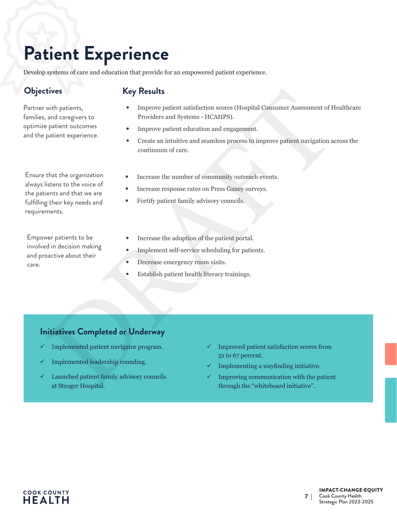## **Patient Experience**

Develop systems of care and education that provide for an empowered patient experience.

Partner with patients, families, and caregivers to optimize patient outcomes and the patient experience.

Ensure that the organization always listens to the voice of the patients and that we are fulfilling their key needs and requirements.

Empower patients to be involved in decision making and proactive about their care.

#### **Objectives Key Results**

- Improve patient satisfaction scores (Hospital Consumer Assessment of Healthcare Providers and Systems - HCAHPS).
- Improve patient education and engagement.
- **Examplements:**<br>
Were partients, and caregivers to many constant statisfaction scores (Hospital Consumer Assessment of H<br>
and caregivers to<br>
and caregivers to<br>
patient experience.<br> **Examplement experience.**<br> **Examplement e** • Create an intuitive and seamless process to improve patient navigation across the continuum of care.
	- Increase the number of community outreach events.
	- Increase response rates on Press Ganey surveys.
	- Fortify patient family advisory councils.
	- Increase the adoption of the patient portal.
	- Implement self-service scheduling for patients.
	- Decrease emergency room visits.
	- Establish patient health literacy trainings.

- Implemented patient navigator program.
- Implemented leadership rounding.
- Launched patient family advisory councils at Stroger Hospital.
- $\checkmark$  Improved patient satisfaction scores from 51 to 67 percent.
- Implementing a wayfinding initiative.
- 9 Improving communication with the patient through the "whiteboard initiative".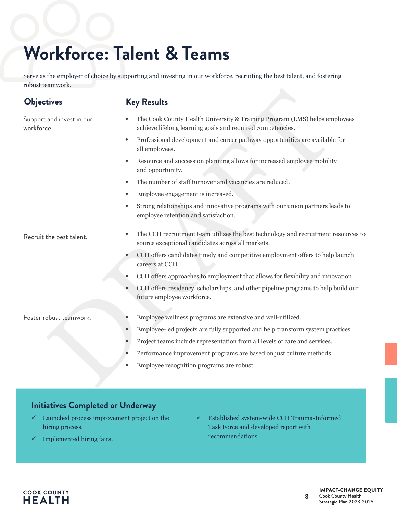## **Workforce: Talent & Teams**

Serve as the employer of choice by supporting and investing in our workforce, recruiting the best talent, and fostering robust teamwork.

workforce.

Support and invest in our

**Objectives Key Results**

- The Cook County Health University & Training Program (LMS) helps employees achieve lifelong learning goals and required competencies.
	- Professional development and career pathway opportunities are available for all employees.
	- Resource and succession planning allows for increased employee mobility and opportunity.
	- The number of staff turnover and vacancies are reduced.
	- Employee engagement is increased.
	- Strong relationships and innovative programs with our union partners leads to employee retention and satisfaction.

- Recruit the best talent.<br>Recruit the best talent. source exceptional candidates across all markets.
	- CCH offers candidates timely and competitive employment offers to help launch careers at CCH.
	- CCH offers approaches to employment that allows for flexibility and innovation.
- $\begin{minipage}[t]{0.9\textwidth} \begin{tabular}{p{0.8cm}p{0.8cm}} \textbf{Key Results} \end{tabular} \begin{tabular}{p{0.8cm}p{0.8cm}} \textbf{Feyl} & \textbf{ReQNS} & \textbf{ReQNS} \\ \textbf{Feyl} & \textbf{RFS} & \textbf{DOS} & \textbf{DOS} \\ \textbf{Feyl} & \textbf{Feyl} & \textbf{DOS} & \textbf{DOS} \\ \textbf{Feyl} & \textbf{DOS} & \textbf{DOS} \\ \textbf{DOS} & \textbf{DOS} & \textbf{DOS} \\ \textbf{DOS}$ • CCH offers residency, scholarships, and other pipeline programs to help build our future employee workforce.

- Foster robust teamwork. Employee wellness programs are extensive and well-utilized.
	- Employee-led projects are fully supported and help transform system practices.
	- Project teams include representation from all levels of care and services.
	- Performance improvement programs are based on just culture methods.
	- Employee recognition programs are robust.

#### **Initiatives Completed or Underway**

- $\checkmark$  Launched process improvement project on the hiring process.
- Implemented hiring fairs.

9 Established system-wide CCH Trauma-Informed Task Force and developed report with recommendations.

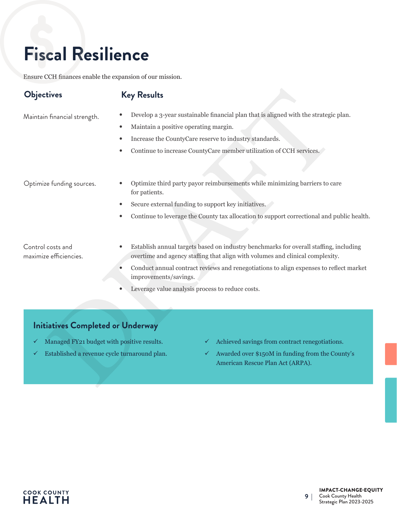## **Fiscal Resilience**

Ensure CCH finances enable the expansion of our mission.

#### **Objectives Key Results**

- Maintain financial strength. Develop a 3-year sustainable financial plan that is aligned with the strategic plan.
	- Maintain a positive operating margin.
	- Increase the CountyCare reserve to industry standards.
	- Continue to increase CountyCare member utilization of CCH services.

- DRAFT Optimize funding sources. • Optimize third party payor reimbursements while minimizing barriers to care for patients.
	- Secure external funding to support key initiatives.
	- Continue to leverage the County tax allocation to support correctional and public health.

Control costs and maximize efficiencies.

- Establish annual targets based on industry benchmarks for overall staffing, including overtime and agency staffing that align with volumes and clinical complexity.
- Conduct annual contract reviews and renegotiations to align expenses to reflect market improvements/savings.
- Leverage value analysis process to reduce costs.

- Managed FY21 budget with positive results.
- Established a revenue cycle turnaround plan.
- 9 Achieved savings from contract renegotiations.
- Awarded over \$150M in funding from the County's American Rescue Plan Act (ARPA).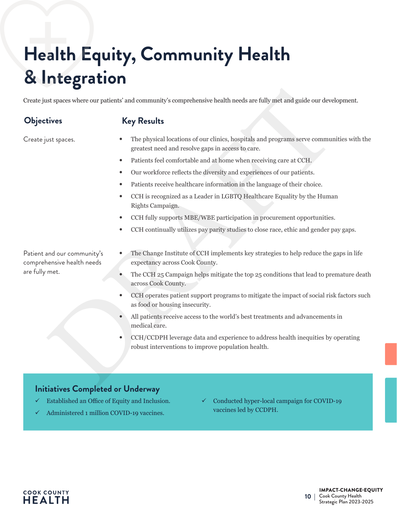## **Health Equity, Community Health & Integration**

Create just spaces where our patients' and community's comprehensive health needs are fully met and guide our development.

**Objectives Key Results**

Create just spaces.

- The physical locations of our clinics, hospitals and programs serve communities with the greatest need and resolve gaps in access to care.
- Patients feel comfortable and at home when receiving care at CCH.
- Our workforce reflects the diversity and experiences of our patients.
- Patients receive healthcare information in the language of their choice.
- In the spaces where our patients' and community's comprehensive health needs are fully met and guide our devel<br> **Key Results**<br> **Example 2018**<br>
Suppose the properties free community is comprehensive health needs are fully m • CCH is recognized as a Leader in LGBTQ Healthcare Equality by the Human Rights Campaign.
	- CCH fully supports MBE/WBE participation in procurement opportunities.
	- CCH continually utilizes pay parity studies to close race, ethic and gender pay gaps.

Patient and our community's comprehensive health needs are fully met.

- The Change Institute of CCH implements key strategies to help reduce the gaps in life expectancy across Cook County.
- The CCH 25 Campaign helps mitigate the top 25 conditions that lead to premature death across Cook County.
- CCH operates patient support programs to mitigate the impact of social risk factors such as food or housing insecurity.
- All patients receive access to the world's best treatments and advancements in medical care.
- CCH/CCDPH leverage data and experience to address health inequities by operating robust interventions to improve population health.

- Established an Office of Equity and Inclusion.
- Administered 1 million COVID-19 vaccines.
- 9 Conducted hyper-local campaign for COVID-19 vaccines led by CCDPH.

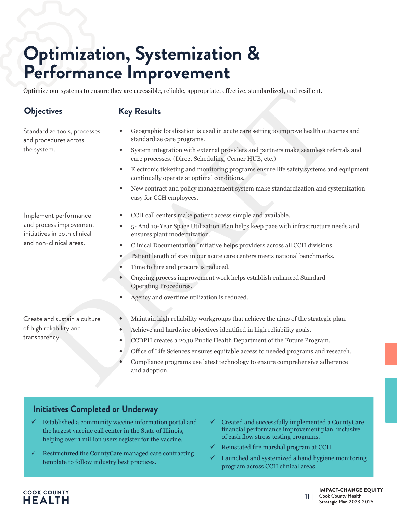## **Optimization, Systemization & Performance Improvement**

Optimize our systems to ensure they are accessible, reliable, appropriate, effective, standardized, and resilient.

#### **Objectives Key Results**

Standardize tools, processes and procedures across the system.

- Geographic localization is used in acute care setting to improve health outcomes and standardize care programs.
- System integration with external providers and partners make seamless referrals and care processes. (Direct Scheduling, Cerner HUB, etc.)
- % our systems to ensure they are accessible, reliable, appropriate, effective, standardized, and resilient.<br> **Event Event Schemer Standard Schemer Schemer Schemer Schemer Schemer Schemer Schemer Schemer Schemer Schemer Sc** • Electronic ticketing and monitoring programs ensure life safety systems and equipment continually operate at optimal conditions.
	- New contract and policy management system make standardization and systemization easy for CCH employees.

Implement performance and process improvement initiatives in both clinical and non-clinical areas.

- CCH call centers make patient access simple and available.
- 5- And 10-Year Space Utilization Plan helps keep pace with infrastructure needs and ensures plant modernization.
- Clinical Documentation Initiative helps providers across all CCH divisions.
- Patient length of stay in our acute care centers meets national benchmarks.
- Time to hire and procure is reduced.
- Ongoing process improvement work helps establish enhanced Standard Operating Procedures.
- Agency and overtime utilization is reduced.

Create and sustain a culture of high reliability and transparency.

**COOK COUNTY** HEALTH

- Maintain high reliability workgroups that achieve the aims of the strategic plan.
- Achieve and hardwire objectives identified in high reliability goals.
- CCDPH creates a 2030 Public Health Department of the Future Program.
- Office of Life Sciences ensures equitable access to needed programs and research.
- Compliance programs use latest technology to ensure comprehensive adherence and adoption.

#### **Initiatives Completed or Underway**

- $\checkmark$  Established a community vaccine information portal and the largest vaccine call center in the State of Illinois, helping over 1 million users register for the vaccine.
- $\checkmark$  Restructured the CountyCare managed care contracting template to follow industry best practices.
- 9 Created and successfully implemented a CountyCare financial performance improvement plan, inclusive of cash flow stress testing programs.
- 9 Reinstated fire marshal program at CCH.
- Launched and systemized a hand hygiene monitoring program across CCH clinical areas.

#### IMPACT-CHANGE-EQUITY

Cook County Health  $Strategic$  Plan 2023-2025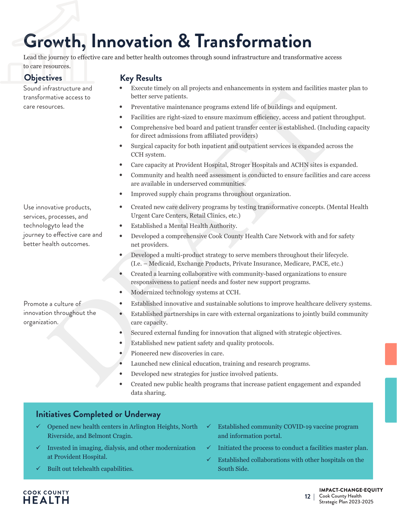## **Growth, Innovation & Transformation**

Lead the journey to effective care and better health outcomes through sound infrastructure and transformative access to care resources.

Sound infrastructure and transformative access to care resources.

Use innovative products, services, processes, and technologyto lead the journey to effective care and better health outcomes.

#### **Objectives Key Results**

- Execute timely on all projects and enhancements in system and facilities master plan to better serve patients.
- Preventative maintenance programs extend life of buildings and equipment.
- Facilities are right-sized to ensure maximum efficiency, access and patient throughput.
- Comprehensive bed board and patient transfer center is established. (Including capacity for direct admissions from affiliated providers)
- Surgical capacity for both inpatient and outpatient services is expanded across the CCH system.
- Care capacity at Provident Hospital, Stroger Hospitals and ACHN sites is expanded.
- Community and health need assessment is conducted to ensure facilities and care access are available in underserved communities.
- Improved supply chain programs throughout organization.
- Francetical terms of the setted many projects and enhancements in system and neutries may<br>be access to better serve patients. The preceding and equipment of the<br>individue and equipment of Francetical constrained in the co • Created new care delivery programs by testing transformative concepts. (Mental Health Urgent Care Centers, Retail Clinics, etc.)
	- Established a Mental Health Authority.
	- Developed a comprehensive Cook County Health Care Network with and for safety net providers.
	- Developed a multi-product strategy to serve members throughout their lifecycle. (I.e. – Medicaid, Exchange Products, Private Insurance, Medicare, PACE, etc.)
	- Created a learning collaborative with community-based organizations to ensure responsiveness to patient needs and foster new support programs.
	- Modernized technology systems at CCH.
	- Established innovative and sustainable solutions to improve healthcare delivery systems.
	- Established partnerships in care with external organizations to jointly build community care capacity.
	- Secured external funding for innovation that aligned with strategic objectives.
	- Established new patient safety and quality protocols.
	- Pioneered new discoveries in care.
	- Launched new clinical education, training and research programs.
	- Developed new strategies for justice involved patients.
	- Created new public health programs that increase patient engagement and expanded data sharing.

#### **Initiatives Completed or Underway**

- 9 Opened new health centers in Arlington Heights, North Riverside, and Belmont Cragin.
- 9 Invested in imaging, dialysis, and other modernization at Provident Hospital.
- 9 Built out telehealth capabilities.
- 9 Established community COVID-19 vaccine program and information portal.
- $\checkmark$  Initiated the process to conduct a facilities master plan.
- 9 Established collaborations with other hospitals on the South Side.

#### **COOK COUNTY** HEALTH

#### IMPACT-CHANGE-EQUITY

Cook County Health 12 | Cook County Health<br>Strategic Plan 2023-2025

Promote a culture of innovation throughout the organization.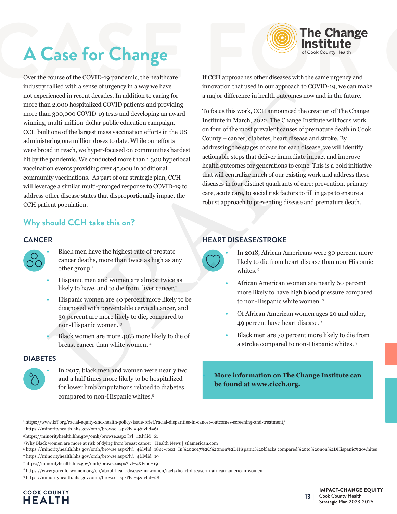

## **A Case for Change**

Financial once and securities and provident in a maximum saturation and approach and provident and the proposition of the proposition of the proposition of the proposition of the station of the control of the order betwee industry rallied with a sense of urgency in a way we have not experienced in recent decades. In addition to caring for more than 2,000 hospitalized COVID patients and providing more than 300,000 COVID-19 tests and developing an award winning, multi-million-dollar public education campaign, CCH built one of the largest mass vaccination efforts in the US administering one million doses to date. While our efforts were broad in reach, we hyper-focused on communities hardest hit by the pandemic. We conducted more than 1,300 hyperlocal vaccination events providing over 45,000 in additional community vaccinations. As part of our strategic plan, CCH will leverage a similar multi-pronged response to COVID-19 to address other disease states that disproportionally impact the CCH patient population.

#### **Why should CCH take this on?**

#### **CANCER**



- Black men have the highest rate of prostate cancer deaths, more than twice as high as any other group.<sup>1</sup>
- Hispanic men and women are almost twice as likely to have, and to die from, liver cancer.<sup>2</sup>
- Hispanic women are 40 percent more likely to be diagnosed with preventable cervical cancer, and 30 percent are more likely to die, compared to non-Hispanic women. 3
- Black women are more 40% more likely to die of breast cancer than white women. 4

#### **DIABETES**



• In 2017, black men and women were nearly two and a half times more likely to be hospitalized for lower limb amputations related to diabetes compared to non-Hispanic whites.5

If CCH approaches other diseases with the same urgency and innovation that used in our approach to COVID-19, we can make a major difference in health outcomes now and in the future.

To focus this work, CCH announced the creation of The Change Institute in March, 2022. The Change Institute will focus work on four of the most prevalent causes of premature death in Cook County – cancer, diabetes, heart disease and stroke. By addressing the stages of care for each disease, we will identify actionable steps that deliver immediate impact and improve health outcomes for generations to come. This is a bold initiative that will centralize much of our existing work and address these diseases in four distinct quadrants of care: prevention, primary care, acute care, to social risk factors to fill in gaps to ensure a robust approach to preventing disease and premature death.

#### **HEART DISEASE/STROKE**



- In 2018, African Americans were 30 percent more likely to die from heart disease than non-Hispanic whites.<sup>6</sup>
- African American women are nearly 60 percent more likely to have high blood pressure compared to non-Hispanic white women. 7
- Of African American women ages 20 and older, 49 percent have heart disease. 8
- Black men are 70 percent more likely to die from a stroke compared to non-Hispanic whites. 9

**• More information on The Change Institute can be found at www.cicch.org.** 

- 1 https://www.kff.org/racial-equity-and-health-policy/issue-brief/racial-disparities-in-cancer-outcomes-screening-and-treatment/
- 2 https://minorityhealth.hhs.gov/omh/browse.aspx?lvl=4&lvlid=61
- 3 https://minorityhealth.hhs.gov/omh/browse.aspx?lvl=4&lvlid=61
- 4 Why Black women are more at risk of dying from breast cancer | Health News | stlamerican.com

- 6 https://minorityhealth.hhs.gov/omh/browse.aspx?lvl=4&lvlid=19
- 7 https://minorityhealth.hhs.gov/omh/browse.aspx?lvl=4&lvlid=19
- 8 https://www.goredforwomen.org/en/about-heart-disease-in-women/facts/heart-disease-in-african-american-women
- 9 https://minorityhealth.hhs.gov/omh/browse.aspx?lvl=4&lvlid=28

#### **COOK COUNTY HEALTH**

#### IMPACT-CHANGE-EQUITY Cook County Health 13 | Cook County Health<br>Strategic Plan 2023-2025

<sup>5</sup> https://minorityhealth.hhs.gov/omh/browse.aspx?lvl=4&lvlid=18#:~:text=In%202017%2C%20non%2DHispanic%20blacks,compared%20to%20non%2DHispanic%20whites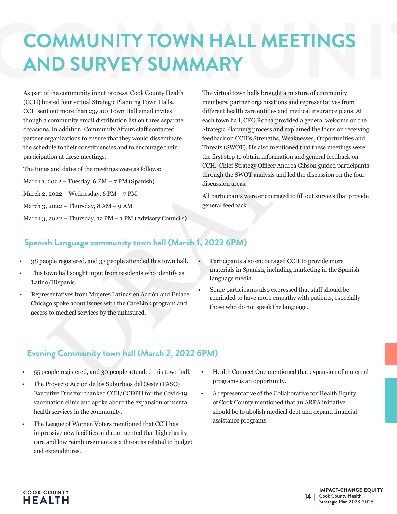## **COMMUNITY TOWN HALL MEETINGS<br>AND SURVEY SUMMARY<br>As part of the community input process, Cook County Health The virtual town halls brought a mixture of community COMMUNITY TOWN HALL MEETINGS AND SURVEY SUMMARY**

As part of the community input process, Cook County Health (CCH) hosted four virtual Strategic Planning Town Halls. CCH sent out more than 23,000 Town Hall email invites though a community email distribution list on three separate occasions. In addition, Community Affairs staff contacted partner organizations to ensure that they would disseminate the schedule to their constituencies and to encourage their participation at these meetings.

The times and dates of the meetings were as follows:

March 1, 2022 – Tuesday, 6 PM – 7 PM (Spanish)

March 2, 2022 – Wednesday, 6 PM – 7 PM

March 3, 2022 – Thursday, 8 AM – 9 AM

March 3, 2022 – Thursday, 12 PM – 1 PM (Advisory Councils)

of the community input process, Cook County Health (The virtual town halls brought a mixture of community and process cook County Health (In where so parameter or agents and contract of the miximum is enable to the miximu The virtual town halls brought a mixture of community members, partner organizations and representatives from different health care entities and medical insurance plans. At each town hall, CEO Rocha provided a general welcome on the Strategic Planning process and explained the focus on receiving feedback on CCH's Strengths, Weaknesses, Opportunities and Threats (SWOT). He also mentioned that these meetings were the first step to obtain information and general feedback on CCH. Chief Strategy Officer Andrea Gibson guided participants through the SWOT analysis and led the discussion on the four discussion areas.

All participants were encouraged to fill out surveys that provide general feedback.

#### **Spanish Language community town hall (March 1, 2022 6PM)**

- 38 people registered, and 33 people attended this town hall.
- This town hall sought input from residents who identify as Latino/Hispanic.
- Representatives from Mujeres Latinas en Acción and Enlace Chicago spoke about issues with the CareLink program and access to medical services by the uninsured.
- Participants also encouraged CCH to provide more materials in Spanish, including marketing in the Spanish language media.
- Some participants also expressed that staff should be reminded to have more empathy with patients, especially those who do not speak the language.

#### **Evening Community town hall (March 2, 2022 6PM)**

- 55 people registered, and 30 people attended this town hall.
- The Proyecto Acción de los Suburbios del Oeste (PASO) Executive Director thanked CCH/CCDPH for the Covid-19 vaccination clinic and spoke about the expansion of mental health services in the community.
- The League of Women Voters mentioned that CCH has impressive new facilities and commented that high charity care and low reimbursements is a threat as related to budget and expenditures.
- Health Connect One mentioned that expansion of maternal programs is an opportunity.
- A representative of the Collaborative for Health Equity of Cook County mentioned that an ARPA initiative should be to abolish medical debt and expand financial assistance programs.